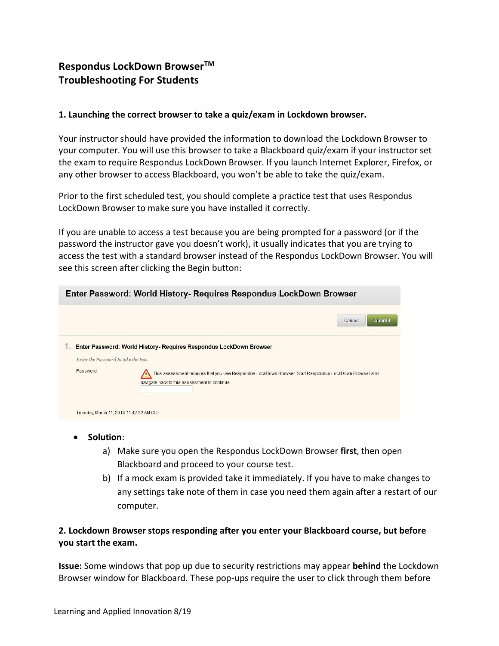# **Respondus LockDown BrowserTM Troubleshooting For Students**

#### **1. Launching the correct browser to take a quiz/exam in Lockdown browser.**

Your instructor should have provided the information to download the Lockdown Browser to your computer. You will use this browser to take a Blackboard quiz/exam if your instructor set the exam to require Respondus LockDown Browser. If you launch Internet Explorer, Firefox, or any other browser to access Blackboard, you won't be able to take the quiz/exam.

Prior to the first scheduled test, you should complete a practice test that uses Respondus LockDown Browser to make sure you have installed it correctly.

If you are unable to access a test because you are being prompted for a password (or if the password the instructor gave you doesn't work), it usually indicates that you are trying to access the test with a standard browser instead of the Respondus LockDown Browser. You will see this screen after clicking the Begin button:

| Enter Password: World History- Requires Respondus LockDown Browser |                                                                                                                                                         |
|--------------------------------------------------------------------|---------------------------------------------------------------------------------------------------------------------------------------------------------|
|                                                                    | <b>Submit</b><br>Cancel                                                                                                                                 |
| Enter the Password to take the test.                               | Enter Password: World History- Requires Respondus LockDown Browser                                                                                      |
| Password                                                           | This assessment requires that you use Respondus LockDown Browser. Start Respondus LockDown Browser and<br>navigate back to this assessment to continue. |
| Tuesday, March 11, 2014 11:42:32 AM CDT                            |                                                                                                                                                         |

- **Solution**:
	- a) Make sure you open the Respondus LockDown Browser **first**, then open Blackboard and proceed to your course test.
	- b) If a mock exam is provided take it immediately. If you have to make changes to any settings take note of them in case you need them again after a restart of our computer.

### **2. Lockdown Browser stops responding after you enter your Blackboard course, but before you start the exam.**

**Issue:** Some windows that pop up due to security restrictions may appear **behind** the Lockdown Browser window for Blackboard. These pop-ups require the user to click through them before